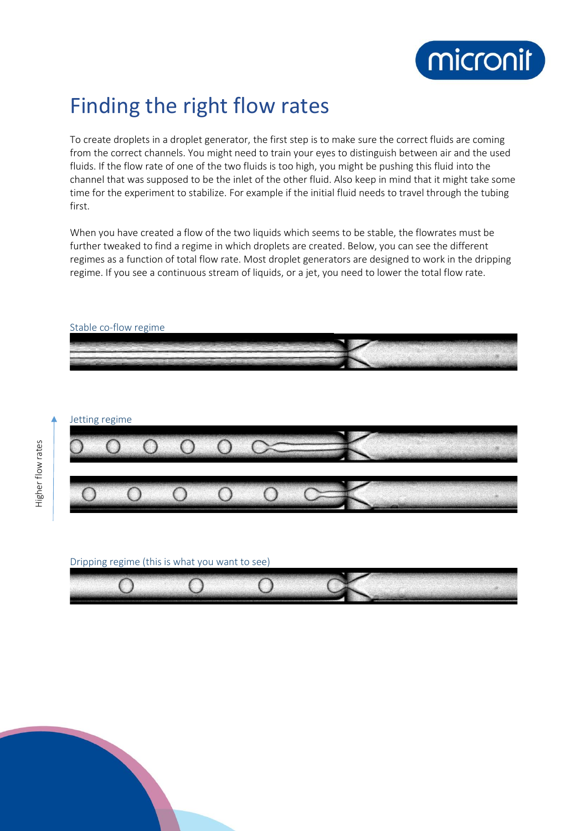

## Finding the right flow rates

To create droplets in a droplet generator, the first step is to make sure the correct fluids are coming from the correct channels. You might need to train your eyes to distinguish between air and the used fluids. If the flow rate of one of the two fluids is too high, you might be pushing this fluid into the channel that was supposed to be the inlet of the other fluid. Also keep in mind that it might take some time for the experiment to stabilize. For example if the initial fluid needs to travel through the tubing first.

When you have created a flow of the two liquids which seems to be stable, the flowrates must be further tweaked to find a regime in which droplets are created. Below, you can see the different regimes as a function of total flow rate. Most droplet generators are designed to work in the dripping regime. If you see a continuous stream of liquids, or a jet, you need to lower the total flow rate.



## Jetting regime



## Dripping regime (this is what you want to see)